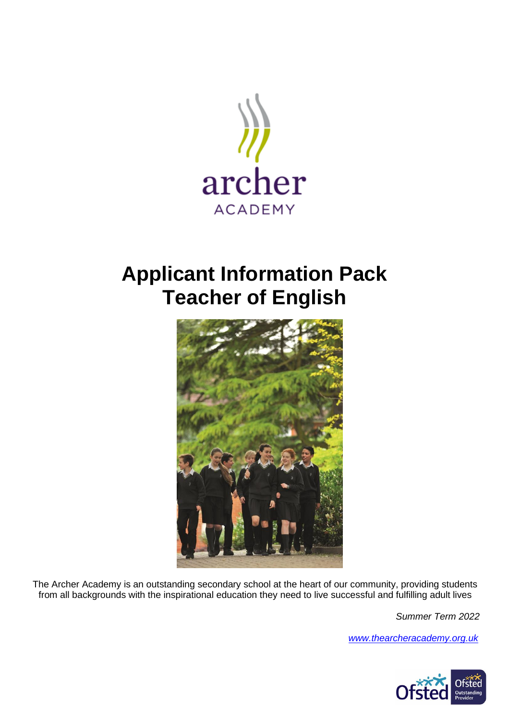

## **Applicant Information Pack Teacher of English**



The Archer Academy is an outstanding secondary school at the heart of our community, providing students from all backgrounds with the inspirational education they need to live successful and fulfilling adult lives

*Summer Term 2022*

*[www.thearcheracademy.org.uk](http://www.thearcheracademy.org.uk/)*

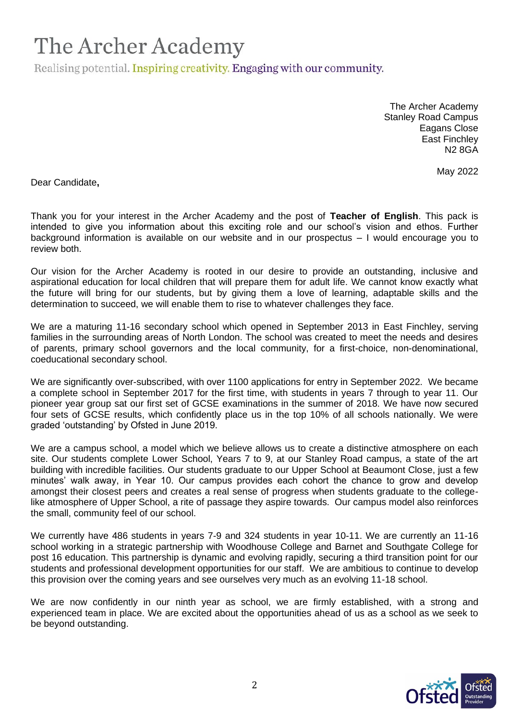Realising potential. Inspiring creativity. Engaging with our community.

The Archer Academy Stanley Road Campus Eagans Close East Finchley N2 8GA

May 2022

Dear Candidate**,**

Thank you for your interest in the Archer Academy and the post of **Teacher of English**. This pack is intended to give you information about this exciting role and our school's vision and ethos. Further background information is available on our website and in our prospectus – I would encourage you to review both.

Our vision for the Archer Academy is rooted in our desire to provide an outstanding, inclusive and aspirational education for local children that will prepare them for adult life. We cannot know exactly what the future will bring for our students, but by giving them a love of learning, adaptable skills and the determination to succeed, we will enable them to rise to whatever challenges they face.

We are a maturing 11-16 secondary school which opened in September 2013 in East Finchley, serving families in the surrounding areas of North London. The school was created to meet the needs and desires of parents, primary school governors and the local community, for a first-choice, non-denominational, coeducational secondary school.

We are significantly over-subscribed, with over 1100 applications for entry in September 2022. We became a complete school in September 2017 for the first time, with students in years 7 through to year 11. Our pioneer year group sat our first set of GCSE examinations in the summer of 2018. We have now secured four sets of GCSE results, which confidently place us in the top 10% of all schools nationally. We were graded 'outstanding' by Ofsted in June 2019.

We are a campus school, a model which we believe allows us to create a distinctive atmosphere on each site. Our students complete Lower School, Years 7 to 9, at our Stanley Road campus, a state of the art building with incredible facilities. Our students graduate to our Upper School at Beaumont Close, just a few minutes' walk away, in Year 10. Our campus provides each cohort the chance to grow and develop amongst their closest peers and creates a real sense of progress when students graduate to the collegelike atmosphere of Upper School, a rite of passage they aspire towards. Our campus model also reinforces the small, community feel of our school.

We currently have 486 students in years 7-9 and 324 students in year 10-11. We are currently an 11-16 school working in a strategic partnership with Woodhouse College and Barnet and Southgate College for post 16 education. This partnership is dynamic and evolving rapidly, securing a third transition point for our students and professional development opportunities for our staff. We are ambitious to continue to develop this provision over the coming years and see ourselves very much as an evolving 11-18 school.

We are now confidently in our ninth year as school, we are firmly established, with a strong and experienced team in place. We are excited about the opportunities ahead of us as a school as we seek to be beyond outstanding.

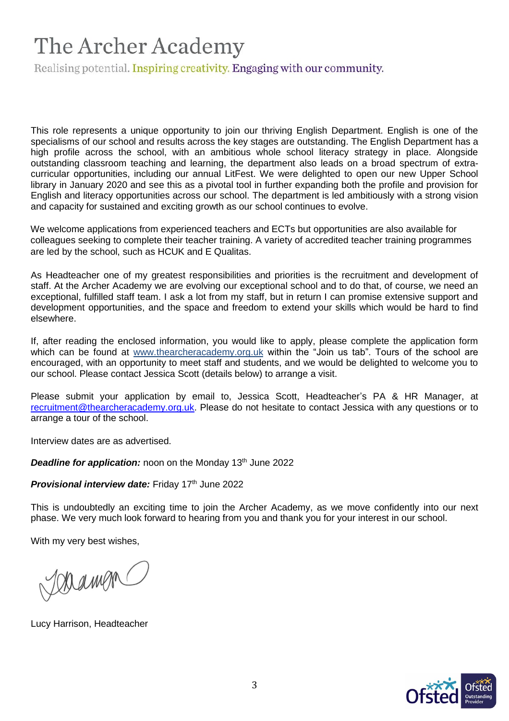Realising potential. Inspiring creativity. Engaging with our community.

This role represents a unique opportunity to join our thriving English Department. English is one of the specialisms of our school and results across the key stages are outstanding. The English Department has a high profile across the school, with an ambitious whole school literacy strategy in place. Alongside outstanding classroom teaching and learning, the department also leads on a broad spectrum of extracurricular opportunities, including our annual LitFest. We were delighted to open our new Upper School library in January 2020 and see this as a pivotal tool in further expanding both the profile and provision for English and literacy opportunities across our school. The department is led ambitiously with a strong vision and capacity for sustained and exciting growth as our school continues to evolve.

We welcome applications from experienced teachers and ECTs but opportunities are also available for colleagues seeking to complete their teacher training. A variety of accredited teacher training programmes are led by the school, such as HCUK and E Qualitas.

As Headteacher one of my greatest responsibilities and priorities is the recruitment and development of staff. At the Archer Academy we are evolving our exceptional school and to do that, of course, we need an exceptional, fulfilled staff team. I ask a lot from my staff, but in return I can promise extensive support and development opportunities, and the space and freedom to extend your skills which would be hard to find elsewhere.

If, after reading the enclosed information, you would like to apply, please complete the application form which can be found at [www.thearcheracademy.org.uk](http://www.thearcheracademy.org.uk/) within the "Join us tab". Tours of the school are encouraged, with an opportunity to meet staff and students, and we would be delighted to welcome you to our school. Please contact Jessica Scott (details below) to arrange a visit.

Please submit your application by email to, Jessica Scott, Headteacher's PA & HR Manager, at [recruitment@thearcheracademy.org.uk.](mailto:recruitment@thearcheracademy.org.uk) Please do not hesitate to contact Jessica with any questions or to arrange a tour of the school.

Interview dates are as advertised.

**Deadline for application:** noon on the Monday 13<sup>th</sup> June 2022

**Provisional interview date:** Friday 17th June 2022

This is undoubtedly an exciting time to join the Archer Academy, as we move confidently into our next phase. We very much look forward to hearing from you and thank you for your interest in our school.

With my very best wishes,

Joramon

Lucy Harrison, Headteacher

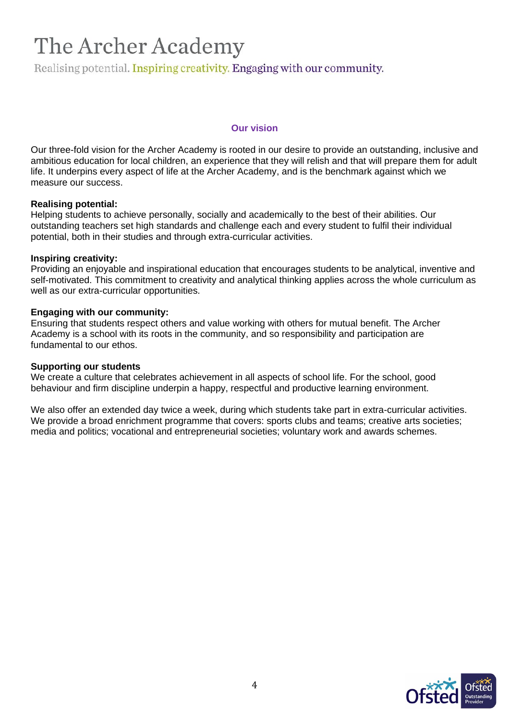Realising potential. Inspiring creativity. Engaging with our community.

### **Our vision**

Our three-fold vision for the Archer Academy is rooted in our desire to provide an outstanding, inclusive and ambitious education for local children, an experience that they will relish and that will prepare them for adult life. It underpins every aspect of life at the Archer Academy, and is the benchmark against which we measure our success.

### **Realising potential:**

Helping students to achieve personally, socially and academically to the best of their abilities. Our outstanding teachers set high standards and challenge each and every student to fulfil their individual potential, both in their studies and through extra-curricular activities.

#### **Inspiring creativity:**

Providing an enjoyable and inspirational education that encourages students to be analytical, inventive and self-motivated. This commitment to creativity and analytical thinking applies across the whole curriculum as well as our extra-curricular opportunities.

#### **Engaging with our community:**

Ensuring that students respect others and value working with others for mutual benefit. The Archer Academy is a school with its roots in the community, and so responsibility and participation are fundamental to our ethos.

### **Supporting our students**

We create a culture that celebrates achievement in all aspects of school life. For the school, good behaviour and firm discipline underpin a happy, respectful and productive learning environment.

We also offer an extended day twice a week, during which students take part in extra-curricular activities. We provide a broad enrichment programme that covers: sports clubs and teams; creative arts societies; media and politics; vocational and entrepreneurial societies; voluntary work and awards schemes.

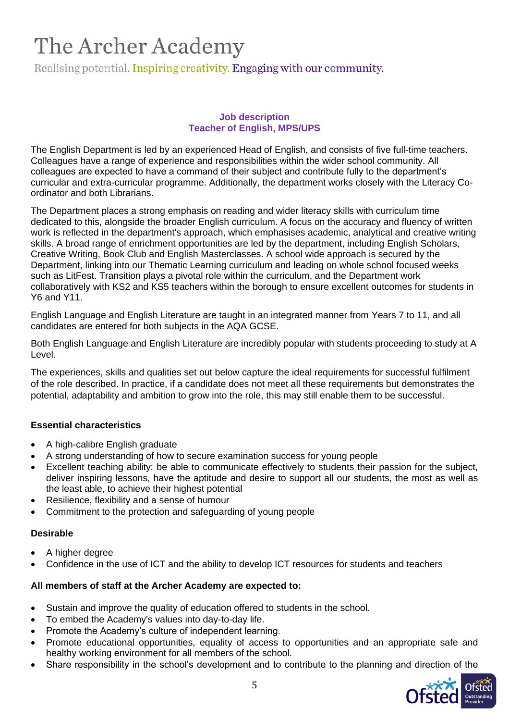Realising potential. Inspiring creativity. Engaging with our community.

### **Job description Teacher of English, MPS/UPS**

The English Department is led by an experienced Head of English, and consists of five full-time teachers. Colleagues have a range of experience and responsibilities within the wider school community. All colleagues are expected to have a command of their subject and contribute fully to the department's curricular and extra-curricular programme. Additionally, the department works closely with the Literacy Coordinator and both Librarians.

The Department places a strong emphasis on reading and wider literacy skills with curriculum time dedicated to this, alongside the broader English curriculum. A focus on the accuracy and fluency of written work is reflected in the department's approach, which emphasises academic, analytical and creative writing skills. A broad range of enrichment opportunities are led by the department, including English Scholars, Creative Writing, Book Club and English Masterclasses. A school wide approach is secured by the Department, linking into our Thematic Learning curriculum and leading on whole school focused weeks such as LitFest. Transition plays a pivotal role within the curriculum, and the Department work collaboratively with KS2 and KS5 teachers within the borough to ensure excellent outcomes for students in Y6 and Y11.

English Language and English Literature are taught in an integrated manner from Years 7 to 11, and all candidates are entered for both subjects in the AQA GCSE.

Both English Language and English Literature are incredibly popular with students proceeding to study at A Level.

The experiences, skills and qualities set out below capture the ideal requirements for successful fulfilment of the role described. In practice, if a candidate does not meet all these requirements but demonstrates the potential, adaptability and ambition to grow into the role, this may still enable them to be successful.

## **Essential characteristics**

- A high-calibre English graduate
- A strong understanding of how to secure examination success for young people
- Excellent teaching ability: be able to communicate effectively to students their passion for the subject, deliver inspiring lessons, have the aptitude and desire to support all our students, the most as well as the least able, to achieve their highest potential
- Resilience, flexibility and a sense of humour
- Commitment to the protection and safeguarding of young people

## **Desirable**

- A higher degree
- Confidence in the use of ICT and the ability to develop ICT resources for students and teachers

## **All members of staff at the Archer Academy are expected to:**

- Sustain and improve the quality of education offered to students in the school.
- To embed the Academy's values into day-to-day life.
- Promote the Academy's culture of independent learning.
- Promote educational opportunities, equality of access to opportunities and an appropriate safe and healthy working environment for all members of the school.
- Share responsibility in the school's development and to contribute to the planning and direction of the

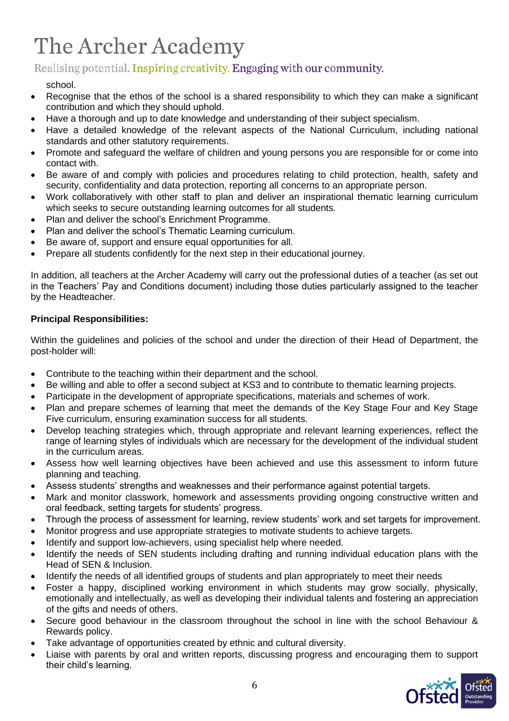## Realising potential. Inspiring creativity. Engaging with our community.

## school.

- Recognise that the ethos of the school is a shared responsibility to which they can make a significant contribution and which they should uphold.
- Have a thorough and up to date knowledge and understanding of their subject specialism.
- Have a detailed knowledge of the relevant aspects of the National Curriculum, including national standards and other statutory requirements.
- Promote and safeguard the welfare of children and young persons you are responsible for or come into contact with.
- Be aware of and comply with policies and procedures relating to child protection, health, safety and security, confidentiality and data protection, reporting all concerns to an appropriate person.
- Work collaboratively with other staff to plan and deliver an inspirational thematic learning curriculum which seeks to secure outstanding learning outcomes for all students.
- Plan and deliver the school's Enrichment Programme.
- Plan and deliver the school's Thematic Learning curriculum.
- Be aware of, support and ensure equal opportunities for all.
- Prepare all students confidently for the next step in their educational journey.

In addition, all teachers at the Archer Academy will carry out the professional duties of a teacher (as set out in the Teachers' Pay and Conditions document) including those duties particularly assigned to the teacher by the Headteacher.

## **Principal Responsibilities:**

Within the guidelines and policies of the school and under the direction of their Head of Department, the post-holder will:

- Contribute to the teaching within their department and the school.
- Be willing and able to offer a second subject at KS3 and to contribute to thematic learning projects.
- Participate in the development of appropriate specifications, materials and schemes of work.
- Plan and prepare schemes of learning that meet the demands of the Key Stage Four and Key Stage Five curriculum, ensuring examination success for all students.
- Develop teaching strategies which, through appropriate and relevant learning experiences, reflect the range of learning styles of individuals which are necessary for the development of the individual student in the curriculum areas.
- Assess how well learning objectives have been achieved and use this assessment to inform future planning and teaching.
- Assess students' strengths and weaknesses and their performance against potential targets.
- Mark and monitor classwork, homework and assessments providing ongoing constructive written and oral feedback, setting targets for students' progress.
- Through the process of assessment for learning, review students' work and set targets for improvement.
- Monitor progress and use appropriate strategies to motivate students to achieve targets.
- Identify and support low-achievers, using specialist help where needed.
- Identify the needs of SEN students including drafting and running individual education plans with the Head of SEN & Inclusion.
- Identify the needs of all identified groups of students and plan appropriately to meet their needs
- Foster a happy, disciplined working environment in which students may grow socially, physically, emotionally and intellectually, as well as developing their individual talents and fostering an appreciation of the gifts and needs of others.
- Secure good behaviour in the classroom throughout the school in line with the school Behaviour & Rewards policy.
- Take advantage of opportunities created by ethnic and cultural diversity.
- Liaise with parents by oral and written reports, discussing progress and encouraging them to support their child's learning.

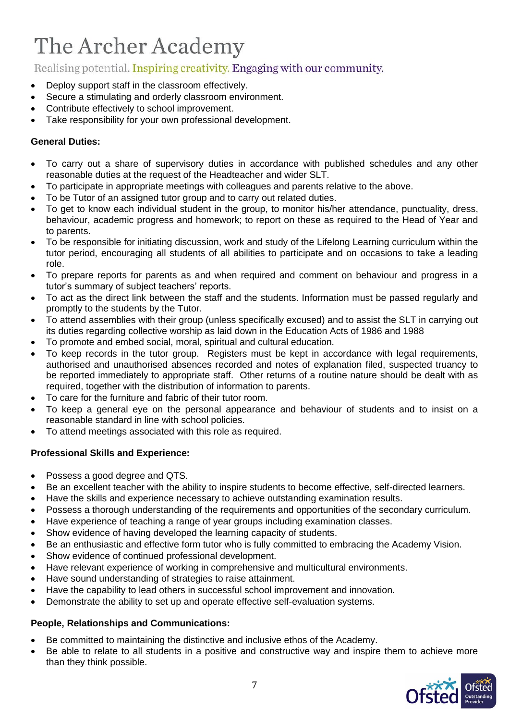## Realising potential. Inspiring creativity. Engaging with our community.

- Deploy support staff in the classroom effectively.
- Secure a stimulating and orderly classroom environment.
- Contribute effectively to school improvement.
- Take responsibility for your own professional development.

## **General Duties:**

- To carry out a share of supervisory duties in accordance with published schedules and any other reasonable duties at the request of the Headteacher and wider SLT.
- To participate in appropriate meetings with colleagues and parents relative to the above.
- To be Tutor of an assigned tutor group and to carry out related duties.
- To get to know each individual student in the group, to monitor his/her attendance, punctuality, dress, behaviour, academic progress and homework; to report on these as required to the Head of Year and to parents.
- To be responsible for initiating discussion, work and study of the Lifelong Learning curriculum within the tutor period, encouraging all students of all abilities to participate and on occasions to take a leading role.
- To prepare reports for parents as and when required and comment on behaviour and progress in a tutor's summary of subject teachers' reports.
- To act as the direct link between the staff and the students. Information must be passed regularly and promptly to the students by the Tutor.
- To attend assemblies with their group (unless specifically excused) and to assist the SLT in carrying out its duties regarding collective worship as laid down in the Education Acts of 1986 and 1988
- To promote and embed social, moral, spiritual and cultural education.
- To keep records in the tutor group. Registers must be kept in accordance with legal requirements, authorised and unauthorised absences recorded and notes of explanation filed, suspected truancy to be reported immediately to appropriate staff. Other returns of a routine nature should be dealt with as required, together with the distribution of information to parents.
- To care for the furniture and fabric of their tutor room.
- To keep a general eye on the personal appearance and behaviour of students and to insist on a reasonable standard in line with school policies.
- To attend meetings associated with this role as required.

## **Professional Skills and Experience:**

- Possess a good degree and QTS.
- Be an excellent teacher with the ability to inspire students to become effective, self-directed learners.
- Have the skills and experience necessary to achieve outstanding examination results.
- Possess a thorough understanding of the requirements and opportunities of the secondary curriculum.
- Have experience of teaching a range of year groups including examination classes.
- Show evidence of having developed the learning capacity of students.
- Be an enthusiastic and effective form tutor who is fully committed to embracing the Academy Vision.
- Show evidence of continued professional development.
- Have relevant experience of working in comprehensive and multicultural environments.
- Have sound understanding of strategies to raise attainment.
- Have the capability to lead others in successful school improvement and innovation.
- Demonstrate the ability to set up and operate effective self-evaluation systems.

## **People, Relationships and Communications:**

- Be committed to maintaining the distinctive and inclusive ethos of the Academy.
- Be able to relate to all students in a positive and constructive way and inspire them to achieve more than they think possible.

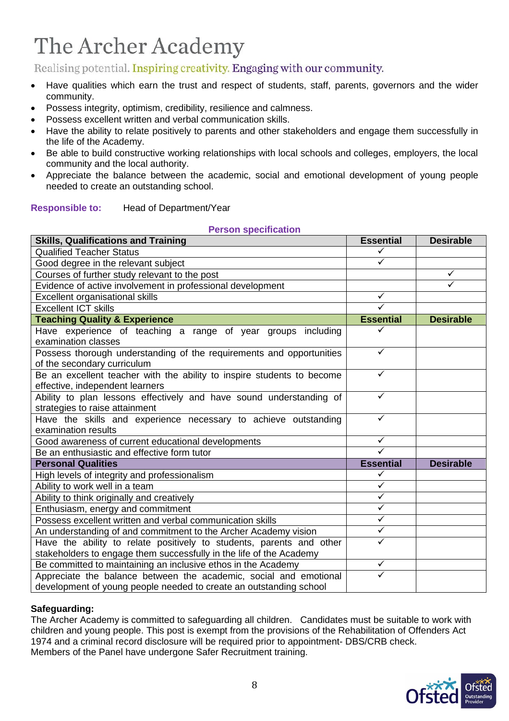Realising potential. Inspiring creativity. Engaging with our community.

- Have qualities which earn the trust and respect of students, staff, parents, governors and the wider community.
- Possess integrity, optimism, credibility, resilience and calmness.
- Possess excellent written and verbal communication skills.
- Have the ability to relate positively to parents and other stakeholders and engage them successfully in the life of the Academy.
- Be able to build constructive working relationships with local schools and colleges, employers, the local community and the local authority.
- Appreciate the balance between the academic, social and emotional development of young people needed to create an outstanding school.

## **Responsible to:** Head of Department/Year

| <b>Person specification</b>                                            |                         |                  |
|------------------------------------------------------------------------|-------------------------|------------------|
| <b>Skills, Qualifications and Training</b>                             | <b>Essential</b>        | <b>Desirable</b> |
| <b>Qualified Teacher Status</b>                                        | ✓                       |                  |
| Good degree in the relevant subject                                    | ✓                       |                  |
| Courses of further study relevant to the post                          |                         | $\checkmark$     |
| Evidence of active involvement in professional development             |                         | ✓                |
| Excellent organisational skills                                        | ✓                       |                  |
| <b>Excellent ICT skills</b>                                            |                         |                  |
| <b>Teaching Quality &amp; Experience</b>                               | <b>Essential</b>        | <b>Desirable</b> |
| Have experience of teaching a range of year groups including           |                         |                  |
| examination classes                                                    |                         |                  |
| Possess thorough understanding of the requirements and opportunities   | ✓                       |                  |
| of the secondary curriculum                                            |                         |                  |
| Be an excellent teacher with the ability to inspire students to become | ✓                       |                  |
| effective, independent learners                                        |                         |                  |
| Ability to plan lessons effectively and have sound understanding of    | ✓                       |                  |
| strategies to raise attainment                                         |                         |                  |
| Have the skills and experience necessary to achieve outstanding        | ✓                       |                  |
| examination results                                                    |                         |                  |
| Good awareness of current educational developments                     | ✓                       |                  |
| Be an enthusiastic and effective form tutor                            |                         |                  |
| <b>Personal Qualities</b>                                              | <b>Essential</b>        | <b>Desirable</b> |
| High levels of integrity and professionalism                           | ✓                       |                  |
| Ability to work well in a team                                         | $\checkmark$            |                  |
| Ability to think originally and creatively                             | $\checkmark$            |                  |
| Enthusiasm, energy and commitment                                      | $\checkmark$            |                  |
| Possess excellent written and verbal communication skills              | $\overline{\checkmark}$ |                  |
| An understanding of and commitment to the Archer Academy vision        | ✓                       |                  |
| Have the ability to relate positively to students, parents and other   | ✓                       |                  |
| stakeholders to engage them successfully in the life of the Academy    |                         |                  |
| Be committed to maintaining an inclusive ethos in the Academy          | $\checkmark$            |                  |
| Appreciate the balance between the academic, social and emotional      |                         |                  |
| development of young people needed to create an outstanding school     |                         |                  |

## **Safeguarding:**

The Archer Academy is committed to safeguarding all children. Candidates must be suitable to work with children and young people. This post is exempt from the provisions of the Rehabilitation of Offenders Act 1974 and a criminal record disclosure will be required prior to appointment- DBS/CRB check. Members of the Panel have undergone Safer Recruitment training.